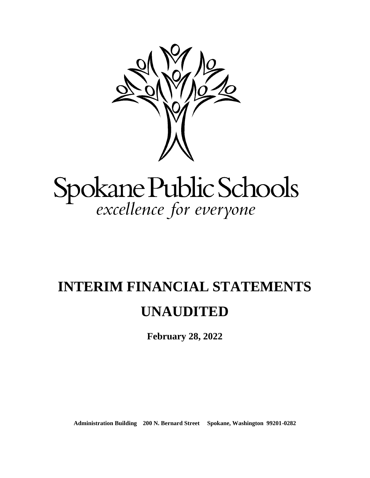

# Spokane Public Schools<br>excellence for everyone

# **INTERIM FINANCIAL STATEMENTS**

# **UNAUDITED**

**February 28, 2022**

**Administration Building 200 N. Bernard Street Spokane, Washington 99201-0282**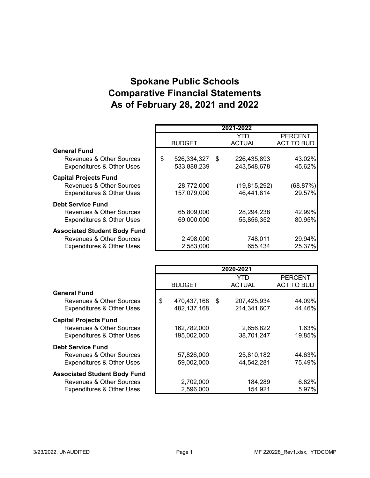# **Spokane Public Schools Comparative Financial Statements As of February 28, 2021 and 2022**

|                                      |                      | 2021-2022      |                   |
|--------------------------------------|----------------------|----------------|-------------------|
|                                      |                      | YTD            | <b>PERCENT</b>    |
|                                      | <b>BUDGET</b>        | <b>ACTUAL</b>  | <b>ACT TO BUD</b> |
| <b>General Fund</b>                  |                      |                |                   |
| Revenues & Other Sources             | \$<br>526,334,327 \$ | 226,435,893    | 43.02%            |
| <b>Expenditures &amp; Other Uses</b> | 533,888,239          | 243,548,678    | 45.62%            |
| <b>Capital Projects Fund</b>         |                      |                |                   |
| <b>Revenues &amp; Other Sources</b>  | 28,772,000           | (19, 815, 292) | (68.87%)          |
| <b>Expenditures &amp; Other Uses</b> | 157,079,000          | 46,441,814     | 29.57%            |
| <b>Debt Service Fund</b>             |                      |                |                   |
| <b>Revenues &amp; Other Sources</b>  | 65,809,000           | 28,294,238     | 42.99%            |
| <b>Expenditures &amp; Other Uses</b> | 69,000,000           | 55,856,352     | 80.95%            |
| <b>Associated Student Body Fund</b>  |                      |                |                   |
| Revenues & Other Sources             | 2,498,000            | 748,011        | 29.94%            |
| <b>Expenditures &amp; Other Uses</b> | 2,583,000            | 655,434        | 25.37%            |

|                                      |                   |      | 2020-2021     |                   |
|--------------------------------------|-------------------|------|---------------|-------------------|
|                                      |                   |      | YTD           | <b>PERCENT</b>    |
|                                      | <b>BUDGET</b>     |      | <b>ACTUAL</b> | <b>ACT TO BUD</b> |
| <b>General Fund</b>                  |                   |      |               |                   |
| Revenues & Other Sources             | \$<br>470,437,168 | - \$ | 207,425,934   | 44.09%            |
| <b>Expenditures &amp; Other Uses</b> | 482,137,168       |      | 214,341,607   | 44.46%            |
| <b>Capital Projects Fund</b>         |                   |      |               |                   |
| Revenues & Other Sources             | 162,782,000       |      | 2,656,822     | 1.63%             |
| <b>Expenditures &amp; Other Uses</b> | 195,002,000       |      | 38,701,247    | 19.85%            |
| <b>Debt Service Fund</b>             |                   |      |               |                   |
| Revenues & Other Sources             | 57,826,000        |      | 25,810,182    | 44.63%            |
| <b>Expenditures &amp; Other Uses</b> | 59,002,000        |      | 44,542,281    | 75.49%            |
| <b>Associated Student Body Fund</b>  |                   |      |               |                   |
| Revenues & Other Sources             | 2,702,000         |      | 184,289       | 6.82%             |
| <b>Expenditures &amp; Other Uses</b> | 2,596,000         |      | 154,921       | 5.97%             |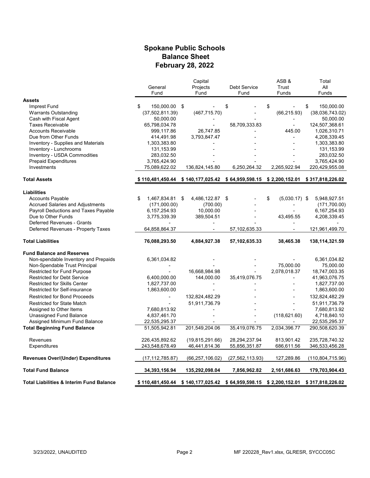#### **Spokane Public Schools Balance Sheet February 28, 2022**

|                                                     |                     | Capital                                                                           |                     | ASB&                  | Total              |
|-----------------------------------------------------|---------------------|-----------------------------------------------------------------------------------|---------------------|-----------------------|--------------------|
|                                                     | General             | Projects                                                                          | <b>Debt Service</b> | Trust                 | All                |
|                                                     | Fund                | Fund                                                                              | Fund                | Funds                 | Funds              |
| <b>Assets</b>                                       |                     |                                                                                   |                     |                       |                    |
| Imprest Fund                                        | \$<br>150,000.00 \$ |                                                                                   | \$                  | \$                    | \$<br>150,000.00   |
| <b>Warrants Outstanding</b>                         | (37,502,811.39)     | (467, 715.70)                                                                     |                     | (66, 215.93)          | (38,036,743.02)    |
| Cash with Fiscal Agent                              | 50,000.00           |                                                                                   |                     |                       | 50,000.00          |
| <b>Taxes Receivable</b>                             | 65,798,034.78       |                                                                                   | 58,709,333.83       | $\blacksquare$        | 124,507,368.61     |
| <b>Accounts Receivable</b>                          | 999,117.86          | 26,747.85                                                                         |                     | 445.00                | 1,026,310.71       |
| Due from Other Funds                                | 414,491.98          | 3,793,847.47                                                                      |                     |                       | 4,208,339.45       |
| Inventory - Supplies and Materials                  | 1,303,383.80        |                                                                                   |                     |                       | 1,303,383.80       |
| Inventory - Lunchrooms                              | 131, 153.99         |                                                                                   |                     |                       | 131,153.99         |
| Inventory - USDA Commodities                        | 283,032.50          |                                                                                   |                     |                       | 283,032.50         |
| <b>Prepaid Expenditures</b>                         | 3,765,424.90        |                                                                                   |                     |                       | 3,765,424.90       |
| Investments                                         | 75,089,622.02       | 136,824,145.80                                                                    | 6,250,264.32        | 2,265,922.94          | 220,429,955.08     |
|                                                     |                     |                                                                                   |                     |                       |                    |
| <b>Total Assets</b>                                 |                     | \$110,481,450.44 \$140,177,025.42 \$64,959,598.15 \$2,200,152.01 \$317,818,226.02 |                     |                       |                    |
| <b>Liabilities</b>                                  |                     |                                                                                   |                     |                       |                    |
| <b>Accounts Payable</b>                             | 1,467,834.81<br>\$  | \$<br>4,486,122.87                                                                | \$                  | \$<br>$(5.030.17)$ \$ | 5,948,927.51       |
| <b>Accrued Salaries and Adjustments</b>             | (171,000.00)        | (700.00)                                                                          |                     |                       | (171, 700.00)      |
| Payroll Deductions and Taxes Payable                | 6, 157, 254. 93     | 10,000.00                                                                         |                     |                       | 6,167,254.93       |
| Due to Other Funds                                  | 3,775,339.39        | 389,504.51                                                                        |                     | 43,495.55             | 4,208,339.45       |
| Deferred Revenues - Grants                          |                     |                                                                                   |                     |                       |                    |
| Deferred Revenues - Property Taxes                  | 64,858,864.37       |                                                                                   | 57,102,635.33       |                       | 121,961,499.70     |
| <b>Total Liabilities</b>                            | 76,088,293.50       | 4,884,927.38                                                                      | 57,102,635.33       | 38,465.38             | 138,114,321.59     |
|                                                     |                     |                                                                                   |                     |                       |                    |
| <b>Fund Balance and Reserves</b>                    |                     |                                                                                   |                     |                       |                    |
| Non-spendable Inventory and Prepaids                | 6,361,034.82        |                                                                                   |                     |                       | 6,361,034.82       |
| Non-Spendable Trust Principal                       |                     |                                                                                   |                     | 75,000.00             | 75,000.00          |
| Restricted for Fund Purpose                         |                     | 16,668,984.98                                                                     |                     | 2,078,018.37          | 18,747,003.35      |
| <b>Restricted for Debt Service</b>                  | 6,400,000.00        | 144,000.00                                                                        | 35,419,076.75       |                       | 41,963,076.75      |
| <b>Restricted for Skills Center</b>                 | 1,827,737.00        |                                                                                   |                     |                       | 1,827,737.00       |
| <b>Restricted for Self-insurance</b>                | 1,863,600.00        |                                                                                   |                     |                       | 1,863,600.00       |
| <b>Restricted for Bond Proceeds</b>                 |                     | 132,824,482.29                                                                    |                     |                       | 132,824,482.29     |
| <b>Restricted for State Match</b>                   |                     | 51,911,736.79                                                                     |                     |                       | 51,911,736.79      |
| Assigned to Other Items                             | 7,680,813.92        |                                                                                   |                     |                       | 7,680,813.92       |
| Unassigned Fund Balance                             | 4,837,461.70        |                                                                                   |                     | (118, 621.60)         | 4,718,840.10       |
| Assigned Minimum Fund Balance                       | 22,535,295.37       |                                                                                   |                     |                       | 22,535,295.37      |
| <b>Total Beginning Fund Balance</b>                 | 51,505,942.81       | 201,549,204.06                                                                    | 35,419,076.75       | 2,034,396.77          | 290,508,620.39     |
| Revenues                                            | 226,435,892.62      | (19, 815, 291.66)                                                                 | 28,294,237.94       | 813,901.42            | 235,728,740.32     |
| Expenditures                                        | 243,548,678.49      | 46,441,814.36                                                                     | 55,856,351.87       | 686,611.56            | 346,533,456.28     |
| Revenues Over/(Under) Expenditures                  | (17, 112, 785.87)   | (66, 257, 106.02)                                                                 | (27,562,113.93)     | 127,289.86            | (110, 804, 715.96) |
| <b>Total Fund Balance</b>                           | 34,393,156.94       | 135,292,098.04                                                                    | 7,856,962.82        | 2,161,686.63          | 179,703,904.43     |
| <b>Total Liabilities &amp; Interim Fund Balance</b> |                     |                                                                                   | \$64,959,598.15     | \$2,200,152.01        | \$317,818,226.02   |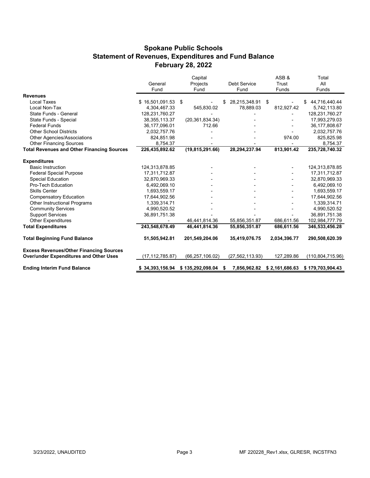#### **Spokane Public Schools Statement of Revenues, Expenditures and Fund Balance February 28, 2022**

|                                                   |                   | Capital           |                     | ASB&           | Total               |  |
|---------------------------------------------------|-------------------|-------------------|---------------------|----------------|---------------------|--|
|                                                   | General           | Projects          | <b>Debt Service</b> | Trust          | All                 |  |
|                                                   | Fund              | Fund              | Fund                | Funds          | Funds               |  |
| <b>Revenues</b>                                   |                   |                   |                     |                |                     |  |
| Local Taxes                                       | \$16,501,091.53   | \$                | 28,215,348.91 \$    |                | 44,716,440.44<br>\$ |  |
| Local Non-Tax                                     | 4,304,467.33      | 545,830.02        | 78.889.03           | 812,927.42     | 5,742,113.80        |  |
| State Funds - General                             | 128,231,760.27    |                   |                     |                | 128,231,760.27      |  |
| State Funds - Special                             | 38, 355, 113. 37  | (20, 361, 834.34) |                     |                | 17,993,279.03       |  |
| <b>Federal Funds</b>                              | 36,177,096.01     | 712.66            |                     |                | 36,177,808.67       |  |
| <b>Other School Districts</b>                     | 2,032,757.76      |                   |                     |                | 2,032,757.76        |  |
| Other Agencies/Associations                       | 824,851.98        |                   |                     | 974.00         | 825,825.98          |  |
| <b>Other Financing Sources</b>                    | 8,754.37          |                   |                     |                | 8,754.37            |  |
| <b>Total Revenues and Other Financing Sources</b> | 226,435,892.62    | (19, 815, 291.66) | 28,294,237.94       | 813,901.42     | 235,728,740.32      |  |
| <b>Expenditures</b>                               |                   |                   |                     |                |                     |  |
| <b>Basic Instruction</b>                          | 124,313,878.85    |                   |                     |                | 124,313,878.85      |  |
| <b>Federal Special Purpose</b>                    | 17,311,712.87     |                   |                     |                | 17,311,712.87       |  |
| <b>Special Education</b>                          | 32,870,969.33     |                   |                     |                | 32,870,969.33       |  |
| Pro-Tech Education                                | 6,492,069.10      |                   |                     |                | 6,492,069.10        |  |
| <b>Skills Center</b>                              | 1,693,559.17      |                   |                     |                | 1,693,559.17        |  |
| <b>Compensatory Education</b>                     | 17,644,902.56     |                   |                     |                | 17,644,902.56       |  |
| Other Instructional Programs                      | 1,339,314.71      |                   |                     |                | 1,339,314.71        |  |
| <b>Community Services</b>                         | 4,990,520.52      |                   |                     |                | 4,990,520.52        |  |
| <b>Support Services</b>                           | 36,891,751.38     |                   |                     |                | 36,891,751.38       |  |
| <b>Other Expenditures</b>                         |                   | 46,441,814.36     | 55,856,351.87       | 686,611.56     | 102,984,777.79      |  |
| <b>Total Expenditures</b>                         | 243,548,678.49    | 46,441,814.36     | 55,856,351.87       | 686,611.56     | 346,533,456.28      |  |
| <b>Total Beginning Fund Balance</b>               | 51,505,942.81     | 201,549,204.06    | 35,419,076.75       | 2,034,396.77   | 290,508,620.39      |  |
| <b>Excess Revenues/Other Financing Sources</b>    |                   |                   |                     |                |                     |  |
| <b>Over/under Expenditures and Other Uses</b>     | (17, 112, 785.87) | (66, 257, 106.02) | (27, 562, 113.93)   | 127,289.86     | (110, 804, 715.96)  |  |
| <b>Ending Interim Fund Balance</b>                | \$34,393,156.94   | \$135,292,098.04  | 7,856,962.82<br>S   | \$2,161,686.63 | \$179,703,904.43    |  |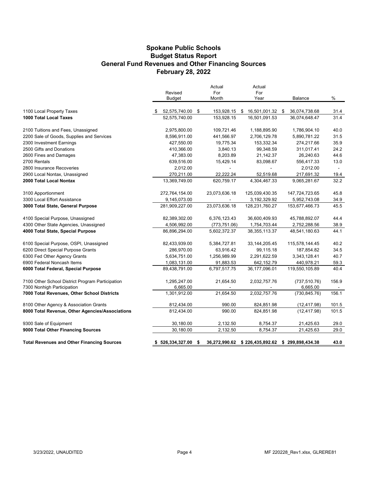#### **Spokane Public Schools General Fund Revenues and Other Financing Sources February 28, 2022 Budget Status Report**

|                                                   | Revised          | Actual<br>For    | Actual<br>For                                   |                |        |
|---------------------------------------------------|------------------|------------------|-------------------------------------------------|----------------|--------|
|                                                   | Budget           | Month            | Year                                            | <b>Balance</b> | %      |
| 1100 Local Property Taxes                         | 52,575,740.00    | \$<br>153,928.15 | \$<br>16,501,001.32 \$                          | 36,074,738.68  | 31.4   |
| 1000 Total Local Taxes                            | 52,575,740.00    | 153,928.15       | 16,501,091.53                                   | 36,074,648.47  | 31.4   |
| 2100 Tuitions and Fees, Unassigned                | 2,975,800.00     | 109,721.46       | 1,188,895.90                                    | 1,786,904.10   | 40.0   |
| 2200 Sale of Goods, Supplies and Services         | 8,596,911.00     | 441,566.97       | 2,706,129.78                                    | 5,890,781.22   | 31.5   |
| 2300 Investment Earnings                          | 427,550.00       | 19,775.34        | 153,332.34                                      | 274,217.66     | 35.9   |
| 2500 Gifts and Donations                          | 410,366.00       | 3,840.13         | 99,348.59                                       | 311,017.41     | 24.2   |
| 2600 Fines and Damages                            | 47,383.00        | 8,203.89         | 21,142.37                                       | 26,240.63      | 44.6   |
| 2700 Rentals                                      | 639,516.00       | 15,429.14        | 83,098.67                                       | 556,417.33     | 13.0   |
| 2800 Insurance Recoveries                         | 2,012.00         |                  |                                                 | 2,012.00       | $\sim$ |
| 2900 Local Nontax, Unassigned                     | 270,211.00       | 22,222.24        | 52,519.68                                       | 217,691.32     | 19.4   |
| 2000 Total Local Nontax                           | 13,369,749.00    | 620,759.17       | 4,304,467.33                                    | 9,065,281.67   | 32.2   |
| 3100 Apportionment                                | 272,764,154.00   | 23,073,636.18    | 125,039,430.35                                  | 147,724,723.65 | 45.8   |
| 3300 Local Effort Assistance                      | 9,145,073.00     |                  | 3,192,329.92                                    | 5,952,743.08   | 34.9   |
| 3000 Total State, General Purpose                 | 281,909,227.00   | 23,073,636.18    | 128,231,760.27                                  | 153,677,466.73 | 45.5   |
| 4100 Special Purpose, Unassigned                  | 82,389,302.00    | 6,376,123.43     | 36,600,409.93                                   | 45,788,892.07  | 44.4   |
| 4300 Other State Agencies, Unassigned             | 4,506,992.00     | (773, 751.06)    | 1,754,703.44                                    | 2,752,288.56   | 38.9   |
| 4000 Total State, Special Purpose                 | 86,896,294.00    | 5,602,372.37     | 38, 355, 113. 37                                | 48,541,180.63  | 44.1   |
| 6100 Special Purpose, OSPI, Unassigned            | 82,433,939.00    | 5,384,727.81     | 33, 144, 205. 45                                | 115,578,144.45 | 40.2   |
| 6200 Direct Special Purpose Grants                | 286,970.00       | 63,916.42        | 99,115.18                                       | 187,854.82     | 34.5   |
| 6300 Fed Other Agency Grants                      | 5,634,751.00     | 1,256,989.99     | 2,291,622.59                                    | 3,343,128.41   | 40.7   |
| 6900 Federal Noncash Items                        | 1,083,131.00     | 91,883.53        | 642,152.79                                      | 440,978.21     | 59.3   |
| 6000 Total Federal, Special Purpose               | 89,438,791.00    | 6,797,517.75     | 36,177,096.01                                   | 119,550,105.89 | 40.4   |
| 7100 Other School District Program Participation  | 1,295,247.00     | 21,654.50        | 2,032,757.76                                    | (737, 510.76)  | 156.9  |
| 7300 Nonhigh Participation                        | 6,665.00         |                  |                                                 | 6,665.00       |        |
| 7000 Total Revenues, Other School Districts       | 1,301,912.00     | 21,654.50        | 2,032,757.76                                    | (730, 845.76)  | 156.1  |
| 8100 Other Agency & Association Grants            | 812,434.00       | 990.00           | 824,851.98                                      | (12, 417.98)   | 101.5  |
| 8000 Total Revenue, Other Agencies/Associations   | 812,434.00       | 990.00           | 824,851.98                                      | (12, 417.98)   | 101.5  |
| 9300 Sale of Equipment                            | 30,180.00        | 2,132.50         | 8,754.37                                        | 21,425.63      | 29.0   |
| 9000 Total Other Financing Sources                | 30,180.00        | 2,132.50         | 8,754.37                                        | 21,425.63      | 29.0   |
| <b>Total Revenues and Other Financing Sources</b> | \$526,334,327.00 | \$               | 36,272,990.62 \$226,435,892.62 \$299,898,434.38 |                | 43.0   |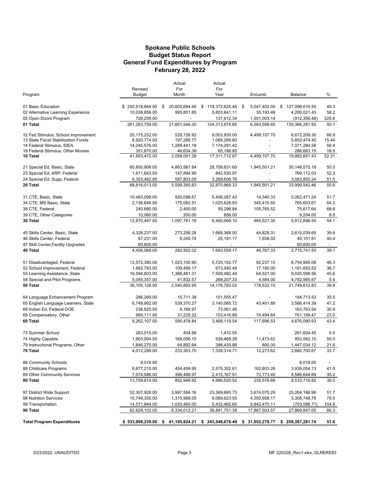#### **Budget Status Report General Fund Expenditures by Program Spokane Public Schools February 28, 2022**

|                                               |                             | Actual                    | Actual                         |                    |                             |               |
|-----------------------------------------------|-----------------------------|---------------------------|--------------------------------|--------------------|-----------------------------|---------------|
|                                               | Revised                     | For                       | For                            |                    |                             |               |
| Program                                       | Budget                      | Month                     | Year                           | Encumb.            | Balance                     | %             |
| 01 Basic Education                            | \$250,518,644.00            | 20,605,694.45<br>\$       | \$118,372,625.40               | 5,047,402.05<br>\$ | \$127,098,616.55            | 49.3          |
| 02 Alternative Learning Experience            | 10,038,856.00               | 995,851.85                | 5,803,641.11                   | 35,193.46          | 4,200,021.43                | 58.2          |
| 03 Open Doors Program                         | 726,259.00                  |                           | 137,612.34                     | 1,501,003.14       | (912, 356.48)               | 225.6         |
| 01 Total                                      | 261,283,759.00              | 21,601,546.30             | 124,313,878.85                 | 6,583,598.65       | 130,386,281.50              | 50.1          |
| 12 Fed Stimulus, School Improvement           | 20,175,252.00               | 528,726.92                | 9,003,935.00                   | 4,499,107.70       | 6,672,209.30                | 66.9          |
| 13 State Fiscal Stabilization Funds           | 6,920,774.00                | 197,288.77                | 1,068,299.60                   |                    | 5,852,474.40                | 15.44         |
| 14 Federal Stimulus, IDEA                     | 14,245,576.00               | 1,285,441.18              | 7,174,291.42                   |                    | 7,071,284.58                | 50.4          |
| 19 Federal Stimulus, Other Monies<br>10 Total | 351,870.00<br>41,693,472.00 | 46,634.39<br>2,058,091.26 | 65,186.85<br>17,311,712.87     | 4,499,107.70       | 286,683.15<br>19,882,651.43 | 18.5<br>52.31 |
|                                               |                             |                           |                                |                    |                             |               |
| 21 Special Ed, Basic, State                   | 60,850,908.00               | 4,863,567.84              | 28,758,831.60                  | 1,945,501.21       | 30,146,575.19               | 50.5          |
| 23 Special Ed, ARP, Federal                   | 1,611,643.00                | 147,894.90                | 842,530.97                     |                    | 769,112.03                  | 52.3          |
| 24 Special Ed, Supp, Federal                  | 6,353,462.00                | 587,803.09                | 3,269,606.76                   |                    | 3,083,855.24                | 51.5          |
| 20 Total                                      | 68,816,013.00               | 5,599,265.83              | 32,870,969.33                  | 1,945,501.21       | 33,999,542.46               | 50.6          |
| 31 CTE, Basic, State                          | 10,483,099.00               | 920,098.67                | 5,406,287.43                   | 14,340.33          | 5,062,471.24                | 51.7          |
| 34 CTE, MS Basic, State                       | 2,136,648.00                | 175,082.51                | 1,025,628.83                   | 345,415.50         | 765,603.67                  | 64.2          |
| 38 CTE, Federal                               | 240,680.00                  | 2,400.00                  | 59,296.84                      | 105,765.52         | 75,617.64                   | 68.6          |
| 39 CTE, Other Categories                      | 10,060.00                   | 200.00                    | 856.00                         |                    | 9,204.00                    | 8.5           |
| 30 Total                                      | 12,870,487.00               | 1,097,781.18              | 6,492,069.10                   | 465,521.35         | 5,912,896.55                | 54.1          |
| 45 Skills Center, Basic, State                | 4,328,237.00                | 273,256.28                | 1,668,368.00                   | 44,829.31          | 2,615,039.69                | 39.6          |
| 46 Skills Center, Federal                     | 67,231.00                   | 9,245.74                  | 25,191.17                      | 1,938.02           | 40,101.81                   | 40.4          |
| 47 Skill Center, Facility Upgrades            | 60,600.00                   |                           |                                |                    | 60,600.00                   |               |
| 40 Total                                      | 4,456,068.00                | 282,502.02                | 1,693,559.17                   | 46,767.33          | 2,715,741.50                | 39.1          |
| 51 Disadvantaged, Federal                     | 12,572,385.00               | 1,023,100.90              | 5,725,152.77                   | 92,237.15          | 6,754,995.08                | 46.3          |
| 52 School Improvement, Federal                | 1,882,783.00                | 109,499.17                | 673,940.48                     | 17,190.00          | 1,191,652.52                | 36.7          |
| 55 Learning Assistance, State                 | 16,594,603.00               | 1,366,461.31              | 7,509,482.44                   | 64,521.00          | 9,020,599.56                | 45.6          |
| 58 Special and Pilot Programs                 | 5,055,357.00                | 41,832.57                 | 268,207.33                     | 4,584.00           | 4,782,565.67                | 5.4           |
| 50 Total                                      | 36,105,128.00               | 2,540,893.95              | 14,176,783.02                  | 178,532.15         | 21,749,812.83               | 39.8          |
| 64 Language Enhancement Program               | 286,269.00                  | 15,711.38                 | 101,555.47                     |                    | 184,713.53                  | 35.5          |
| 65 English Language Learners, State           | 6,749,902.00                | 539,370.27                | 3,140,085.72                   | 43,401.89          | 3,566,414.39                | 47.2          |
| 68 Indian Ed, Federal DOE                     | 236,825.00                  | 9,168.97                  | 73,061.46                      |                    | 163,763.54                  | 30.9          |
| 69 Compensatory, Other                        | 989,111.00                  | 31,228.22                 | 153,416.89                     | 74,494.64          | 761,199.47                  | 23.0          |
| 60 Total                                      | 8,262,107.00                | 595,478.84                | 3,468,119.54                   | 117,896.53         | 4,676,090.93                | 43.4          |
| 73 Summer School                              | 263,015.00                  | 404.96                    | 1,410.55                       |                    | 261,604.45                  | 0.5           |
| 74 Highly Capable                             | 1,903,004.00                | 168,006.10                | 939,468.28                     | 11,473.62          | 952,062.10                  | 50.0          |
| 79 Instructional Programs, Other              | 1,846,270.00                | 64,892.64                 | 398,435.88                     | 800.00             | 1,447,034.12                | 21.6          |
| 70 Total                                      | 4,012,289.00                | 233,303.70                | 1,339,314.71                   | 12,273.62          | 2,660,700.67                | 33.7          |
| 86 Community Schools                          | 8,018.00                    |                           |                                |                    | 8,018.00                    |               |
| 88 Childcare Programs                         | 6,677,210.00                | 454,459.95                | 2,575,352.61                   | 162,803.26         | 3,939,054.13                | 41.0          |
| 89 Other Community Services                   | 7,074,586.00                | 398,488.97                | 2,415,167.91                   | 72,773.40          | 4,586,644.69                | 35.2          |
| 80 Total                                      | 13,759,814.00               | 852,948.92                | 4,990,520.52                   | 235,576.66         | 8,533,716.82                | 38.0          |
| 97 District Wide Support                      | 52,307,928.00               | 3,997,584.16              | 23,369,665.73                  | 3,674,075.29       | 25,264,186.98               | 51.7          |
| 98 Nutrition Services                         | 15,749,330.00               | 1,315,968.05              | 8,089,623.05                   | 4,350,958.17       | 3,308,748.78                | 79.0          |
| 99 Transportation                             | 14,571,844.00               | 1,020,460.00              | 5,432,462.60                   | 9,842,470.11       | (703,088.71)                | 104.8         |
| 90 Total                                      | 82,629,102.00               | 6,334,012.21              | 36,891,751.38                  | 17,867,503.57      | 27,869,847.05               | 66.3          |
| <b>Total Program Expenditures</b>             | \$533,888,239.00            | s.                        | 41,195,824.21 \$243,548,678.49 | \$ 31,952,278.77   | \$258,387,281.74            | 51.6          |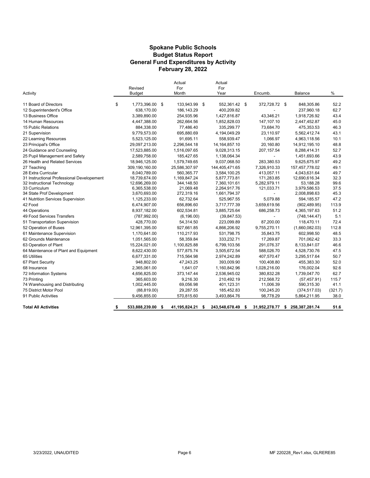#### **Spokane Public Schools General Fund Expenditures by Activity February 28, 2022 Budget Status Report**

| Activity                                   | Revised<br><b>Budget</b> |      | Actual<br>For<br>Month | Actual<br>For<br>Year |    | Encumb.                  | Balance              | $\%$    |
|--------------------------------------------|--------------------------|------|------------------------|-----------------------|----|--------------------------|----------------------|---------|
|                                            |                          |      |                        |                       |    |                          |                      |         |
| 11 Board of Directors                      | \$<br>1,773,396.00 \$    |      | 133,943.99             | \$<br>552,361.42 \$   |    | 372,728.72 \$            | 848,305.86           | 52.2    |
| 12 Superintendent's Office                 | 638,170.00               |      | 186, 143.29            | 400,209.82            |    |                          | 237,960.18           | 62.7    |
| 13 Business Office                         | 3,389,890.00             |      | 254,935.96             | 1,427,816.87          |    | 43.346.21                | 1,918,726.92         | 43.4    |
| 14 Human Resources                         | 4,447,388.00             |      | 262,664.56             | 1,852,828.03          |    | 147,107.10               | 2,447,452.87         | 45.0    |
| 15 Public Relations                        | 884,338.00               |      | 77.486.40              | 335,299.77            |    | 73,684.70                | 475,353.53           | 46.3    |
| 21 Supervision                             | 9,779,573.00             |      | 695,880.69             | 4,194,049.29          |    | 23,110.97                | 5,562,412.74         | 43.1    |
| 22 Learning Resources                      | 5,523,125.00             |      | 91,695.11              | 558,939.47            |    | 1,066.97                 | 4,963,118.56         | 10.1    |
| 23 Principal's Office                      | 29,097,213.00            |      | 2,296,544.18           | 14, 164, 857. 10      |    | 20,160.80                | 14,912,195.10        | 48.8    |
| 24 Guidance and Counseling                 | 17,523,885.00            |      | 1,516,097.65           | 9,028,313.15          |    | 207, 157.54              | 8,288,414.31         | 52.7    |
| 25 Pupil Management and Safety             | 2,589,758.00             |      | 185,427.65             | 1,138,064.34          |    |                          | 1,451,693.66         | 43.9    |
| 26 Health and Related Services             | 18,946,125.00            |      | 1,579,749.65           | 9,037,068.50          |    | 283,380.53               | 9,625,675.97         | 49.2    |
| 27 Teaching                                | 309,190,160.00           |      | 25,586,307.97          | 144,405,471.65        |    | 7,326,910.33             | 157,457,778.02       | 49.1    |
| 28 Extra Curricular                        | 8,040,789.00             |      | 560,365.77             | 3,584,100.25          |    | 413,057.11               | 4,043,631.64         | 49.7    |
| 31 Instructional Professional Developement | 18,739,674.00            |      | 1,169,847.24           | 5,877,773.81          |    | 171,283.85               | 12,690,616.34        | 32.3    |
| 32 Instructional Technology                | 12,696,269.00            |      | 344,148.50             | 7,360,101.61          |    | 5,282,979.11             | 53,188.28            | 99.6    |
| 33 Curriculum                              | 6,365,538.00             |      | 21,069.48              | 2,264,917.76          |    | 121,033.71               | 3,979,586.53         | 37.5    |
| 34 State Prof Development                  | 3,670,693.00             |      | 272,319.16             | 1,661,794.37          |    | $\blacksquare$           | 2,008,898.63         | 45.3    |
| 41 Nutrition Services Supervision          | 1,125,233.00             |      | 62,732.64              | 525,967.55            |    | 5,079.88                 | 594,185.57           | 47.2    |
| 42 Food                                    | 6,474,907.00             |      | 656,896.60             | 3,717,777.39          |    | 3,659,619.56             | (902, 489.95)        | 113.9   |
| 44 Operations                              | 8,937,182.00             |      | 602,534.81             | 3,885,725.64          |    | 686,258.73               | 4,365,197.63         | 51.2    |
| 49 Food Services Transfers                 | (787, 992.00)            |      | (6, 196.00)            | (39, 847.53)          |    | $\overline{\phantom{0}}$ | (748, 144.47)        | 5.1     |
| 51 Transportation Supervision              | 428,770.00               |      | 54,314.50              | 223,099.89            |    | 87,200.00                | 118,470.11           | 72.4    |
| 52 Operation of Buses                      | 12,961,395.00            |      | 927,661.85             | 4,866,206.92          |    | 9,755,270.11             | (1,660,082.03)       | 112.8   |
| 61 Maintenance Supervision                 | 1,170,641.00             |      | 110,217.93             | 531.798.75            |    | 35,843.75                | 602,998.50           | 48.5    |
| 62 Grounds Maintenance                     | 1,051,565.00             |      | 58,359.84              | 333,232.71            |    | 17,269.87                | 701,062.42           | 33.3    |
| 63 Operation of Plant                      | 15,224,021.00            |      | 1,100,825.88           | 6,799,103.56          |    | 291,076.37               | 8,133,841.07         | 46.6    |
| 64 Maintenance of Plant and Equipment      | 8,622,430.00             |      | 577,875.74             | 3,505,672.54          |    | 588,026.70               | 4,528,730.76         | 47.5    |
| 65 Utilities                               | 6,677,331.00             |      | 715,564.98             | 2,974,242.89          |    | 407,570.47               | 3,295,517.64         | 50.7    |
| 67 Plant Security                          | 948,802.00               |      | 47,243.25              | 393,009.90            |    | 100,408.80               | 455,383.30           | 52.0    |
| 68 Insurance                               | 2,365,061.00             |      | 1,641.07               | 1,160,842.96          |    | 1,028,216.00             | 176,002.04           | 92.6    |
| 72 Information Systems                     | 4,656,825.00             |      | 373,147.44             | 2,536,945.02          |    | 380,832.28               | 1,739,047.70         | 62.7    |
| 73 Printing                                | 365,603.00               |      | 9,216.30               | 210,492.19            |    | 212,568.72               | (57, 457.91)         | 115.7   |
| 74 Warehousing and Distributing            | 1,002,445.00             |      | 69,056.98              | 401,123.31            |    | 11,006.39                | 590,315.30           | 41.1    |
| 75 District Motor Pool                     | (88, 819.00)             |      | 29,287.55              | 185,452.83            |    | 100,245.20               | (374, 517.03)        | (321.7) |
| 91 Public Activities                       | 9,456,855.00             |      | 570,815.60             | 3,493,864.76          |    | 98,778.29                | 5,864,211.95         | 38.0    |
| <b>Total All Activities</b>                | \$<br>533,888,239.00     | - \$ | 41,195,824.21          | \$<br>243,548,678.49  | s. | 31,952,278.77            | \$<br>258,387,281.74 | 51.6    |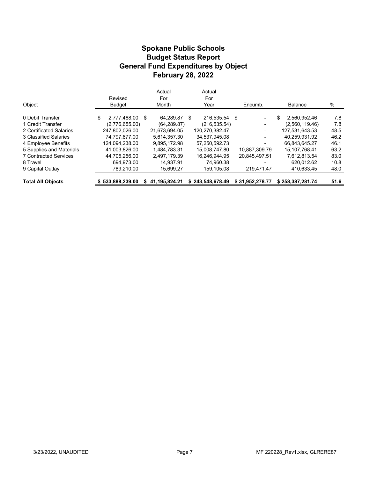#### **Budget Status Report General Fund Expenditures by Object Spokane Public Schools February 28, 2022**

| Object                       | Revised<br><b>Budget</b> |   | Actual<br>For<br>Month |   | Actual<br>For<br>Year | Encumb.                  | <b>Balance</b>     | %    |
|------------------------------|--------------------------|---|------------------------|---|-----------------------|--------------------------|--------------------|------|
| 0 Debit Transfer             | \$<br>2.777.488.00 \$    |   | 64.289.87              | S | 216.535.54 \$         | $\blacksquare$           | \$<br>2.560.952.46 | 7.8  |
| 1 Credit Transfer            | (2,776,655.00)           |   | (64, 289.87)           |   | (216, 535.54)         | $\overline{\phantom{a}}$ | (2,560,119.46)     | 7.8  |
| 2 Certificated Salaries      | 247.802.026.00           |   | 21.673.694.05          |   | 120.270.382.47        | $\overline{\phantom{0}}$ | 127.531.643.53     | 48.5 |
| 3 Classified Salaries        | 74.797.877.00            |   | 5.614.357.30           |   | 34,537,945.08         | ٠                        | 40.259.931.92      | 46.2 |
| 4 Employee Benefits          | 124.094.238.00           |   | 9.895.172.98           |   | 57.250.592.73         | ۰                        | 66.843.645.27      | 46.1 |
| 5 Supplies and Materials     | 41,003,826.00            |   | 1.484.783.31           |   | 15.008.747.80         | 10.887.309.79            | 15.107.768.41      | 63.2 |
| <b>7 Contracted Services</b> | 44.705.256.00            |   | 2.497.179.39           |   | 16,246,944.95         | 20.845.497.51            | 7.612.813.54       | 83.0 |
| 8 Travel                     | 694.973.00               |   | 14.937.91              |   | 74.960.38             |                          | 620.012.62         | 10.8 |
| 9 Capital Outlay             | 789.210.00               |   | 15,699.27              |   | 159,105.08            | 219,471.47               | 410.633.45         | 48.0 |
| <b>Total All Objects</b>     | \$533.888.239.00         | S | 41.195.824.21          |   | \$243,548,678.49      | \$31.952.278.77          | \$258.387.281.74   | 51.6 |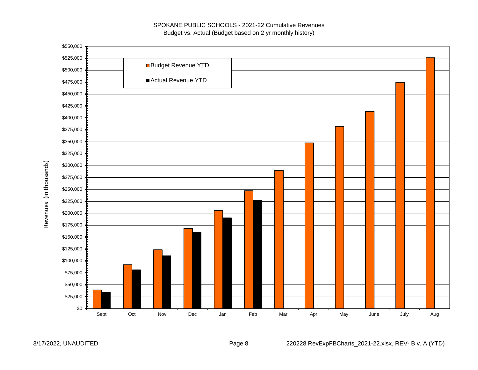#### SPOKANE PUBLIC SCHOOLS - 2021-22 Cumulative Revenues Budget vs. Actual (Budget based on 2 yr monthly history)

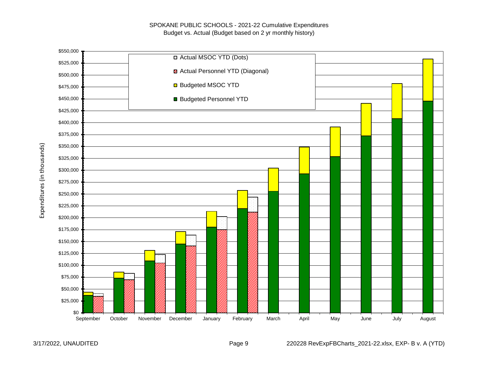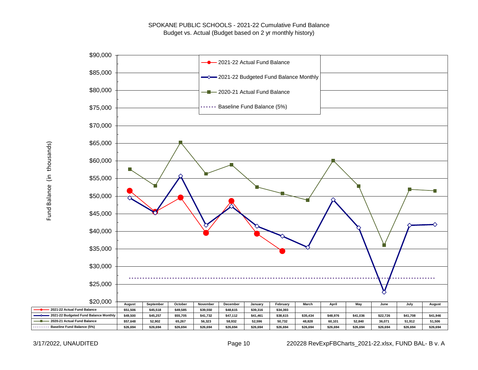

Fund Balance (in thousands) Fund Balance (in thousands)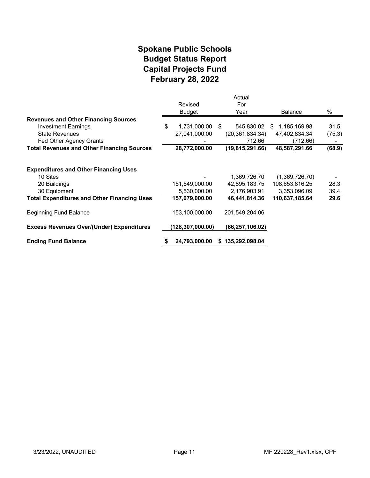## **February 28, 2022 Spokane Public Schools Capital Projects Fund Budget Status Report**

|                                                    |                    | Actual            |                    |        |
|----------------------------------------------------|--------------------|-------------------|--------------------|--------|
|                                                    | Revised            | For               |                    |        |
|                                                    | <b>Budget</b>      | Year              | <b>Balance</b>     | %      |
| <b>Revenues and Other Financing Sources</b>        |                    |                   |                    |        |
| <b>Investment Earnings</b>                         | \$<br>1,731,000.00 | 545,830.02<br>-S  | 1,185,169.98<br>S. | 31.5   |
| <b>State Revenues</b>                              | 27,041,000.00      | (20, 361, 834.34) | 47,402,834.34      | (75.3) |
| Fed Other Agency Grants                            |                    | 712.66            | (712.66)           |        |
| <b>Total Revenues and Other Financing Sources</b>  | 28,772,000.00      | (19, 815, 291.66) | 48,587,291.66      | (68.9) |
|                                                    |                    |                   |                    |        |
| <b>Expenditures and Other Financing Uses</b>       |                    |                   |                    |        |
| 10 Sites                                           |                    | 1,369,726.70      | (1,369,726.70)     |        |
| 20 Buildings                                       | 151,549,000.00     | 42,895,183.75     | 108,653,816.25     | 28.3   |
| 30 Equipment                                       | 5,530,000.00       | 2,176,903.91      | 3,353,096.09       | 39.4   |
| <b>Total Expenditures and Other Financing Uses</b> | 157,079,000.00     | 46,441,814.36     | 110,637,185.64     | 29.6   |
| <b>Beginning Fund Balance</b>                      | 153,100,000.00     | 201,549,204.06    |                    |        |
| <b>Excess Revenues Over/(Under) Expenditures</b>   | (128,307,000.00)   | (66, 257, 106.02) |                    |        |
| <b>Ending Fund Balance</b>                         | 24,793,000.00      | \$135,292,098.04  |                    |        |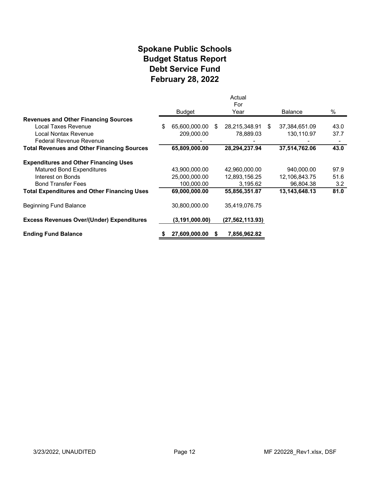## **Spokane Public Schools Debt Service Fund February 28, 2022 Budget Status Report**

|                                                    |                     |    | Actual<br>For   |    |                |      |
|----------------------------------------------------|---------------------|----|-----------------|----|----------------|------|
|                                                    | <b>Budget</b>       |    | Year            |    | <b>Balance</b> | $\%$ |
| <b>Revenues and Other Financing Sources</b>        |                     |    |                 |    |                |      |
| Local Taxes Revenue                                | \$<br>65,600,000.00 | -S | 28,215,348.91   | -S | 37,384,651.09  | 43.0 |
| Local Nontax Revenue                               | 209,000.00          |    | 78,889.03       |    | 130,110.97     | 37.7 |
| Federal Revenue Revenue                            |                     |    |                 |    |                |      |
| <b>Total Revenues and Other Financing Sources</b>  | 65,809,000.00       |    | 28,294,237.94   |    | 37,514,762.06  | 43.0 |
| <b>Expenditures and Other Financing Uses</b>       |                     |    |                 |    |                |      |
| <b>Matured Bond Expenditures</b>                   | 43,900,000.00       |    | 42,960,000.00   |    | 940,000.00     | 97.9 |
| Interest on Bonds                                  | 25,000,000.00       |    | 12,893,156.25   |    | 12,106,843.75  | 51.6 |
| <b>Bond Transfer Fees</b>                          | 100,000.00          |    | 3,195.62        |    | 96,804.38      | 3.2  |
| <b>Total Expenditures and Other Financing Uses</b> | 69,000,000.00       |    | 55,856,351.87   |    | 13,143,648.13  | 81.0 |
| Beginning Fund Balance                             | 30,800,000.00       |    | 35,419,076.75   |    |                |      |
| <b>Excess Revenues Over/(Under) Expenditures</b>   | (3, 191, 000.00)    |    | (27,562,113.93) |    |                |      |
| <b>Ending Fund Balance</b>                         | 27,609,000.00       | S. | 7,856,962.82    |    |                |      |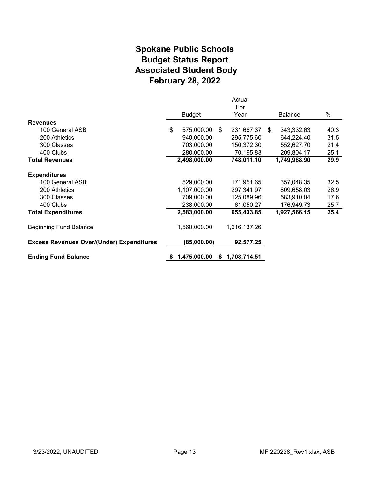# **Spokane Public Schools Associated Student Body February 28, 2022 Budget Status Report**

|                                                  |                  |    | Actual       |    |                |      |
|--------------------------------------------------|------------------|----|--------------|----|----------------|------|
|                                                  | <b>Budget</b>    |    | For<br>Year  |    | <b>Balance</b> | %    |
| <b>Revenues</b>                                  |                  |    |              |    |                |      |
| 100 General ASB                                  | \$<br>575,000.00 | \$ | 231,667.37   | S. | 343,332.63     | 40.3 |
| 200 Athletics                                    | 940,000.00       |    | 295,775.60   |    | 644,224.40     | 31.5 |
| 300 Classes                                      | 703,000.00       |    | 150,372.30   |    | 552,627.70     | 21.4 |
| 400 Clubs                                        | 280,000.00       |    | 70,195.83    |    | 209,804.17     | 25.1 |
| <b>Total Revenues</b>                            | 2,498,000.00     |    | 748,011.10   |    | 1,749,988.90   | 29.9 |
| <b>Expenditures</b>                              |                  |    |              |    |                |      |
| 100 General ASB                                  | 529,000.00       |    | 171,951.65   |    | 357,048.35     | 32.5 |
| 200 Athletics                                    | 1,107,000.00     |    | 297,341.97   |    | 809,658.03     | 26.9 |
| 300 Classes                                      | 709,000.00       |    | 125,089.96   |    | 583,910.04     | 17.6 |
| 400 Clubs                                        | 238,000.00       |    | 61,050.27    |    | 176,949.73     | 25.7 |
| <b>Total Expenditures</b>                        | 2,583,000.00     |    | 655,433.85   |    | 1,927,566.15   | 25.4 |
| <b>Beginning Fund Balance</b>                    | 1,560,000.00     |    | 1,616,137.26 |    |                |      |
| <b>Excess Revenues Over/(Under) Expenditures</b> | (85,000.00)      |    | 92,577.25    |    |                |      |
| <b>Ending Fund Balance</b>                       | 1,475,000.00     | S. | 1,708,714.51 |    |                |      |